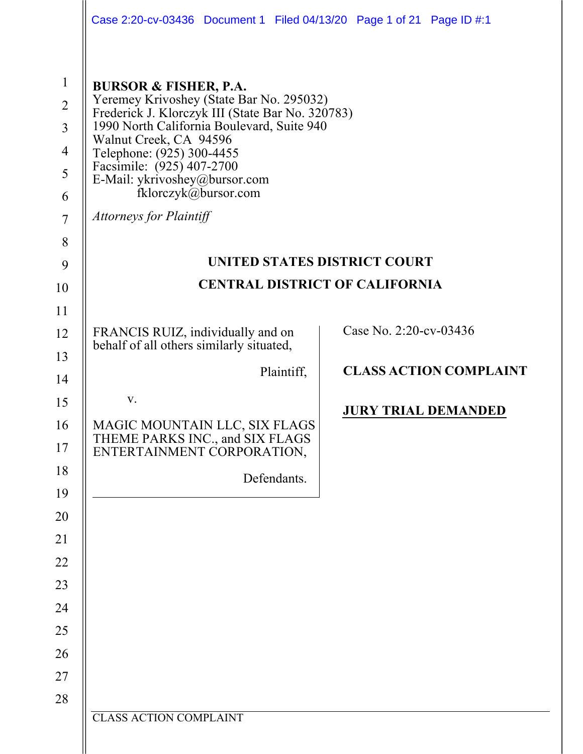|                                                                                                | Case 2:20-cv-03436  Document 1  Filed 04/13/20  Page 1 of 21  Page ID #:1                                                                                                                                                                                                                                                                                     |                               |  |
|------------------------------------------------------------------------------------------------|---------------------------------------------------------------------------------------------------------------------------------------------------------------------------------------------------------------------------------------------------------------------------------------------------------------------------------------------------------------|-------------------------------|--|
| $\mathbf{1}$<br>$\overline{2}$<br>$\overline{3}$<br>$\overline{4}$<br>5<br>6<br>$\overline{7}$ | <b>BURSOR &amp; FISHER, P.A.</b><br>Yeremey Krivoshey (State Bar No. 295032)<br>Frederick J. Klorczyk III (State Bar No. 320783)<br>1990 North California Boulevard, Suite 940<br>Walnut Creek, CA 94596<br>Telephone: (925) 300-4455<br>Facsimile: (925) 407-2700<br>E-Mail: ykrivoshey@bursor.com<br>fklorczyk@bursor.com<br><b>Attorneys for Plaintiff</b> |                               |  |
| 8                                                                                              |                                                                                                                                                                                                                                                                                                                                                               |                               |  |
| 9                                                                                              | UNITED STATES DISTRICT COURT                                                                                                                                                                                                                                                                                                                                  |                               |  |
| 10                                                                                             | <b>CENTRAL DISTRICT OF CALIFORNIA</b>                                                                                                                                                                                                                                                                                                                         |                               |  |
| 11                                                                                             |                                                                                                                                                                                                                                                                                                                                                               |                               |  |
| 12                                                                                             | FRANCIS RUIZ, individually and on<br>behalf of all others similarly situated,                                                                                                                                                                                                                                                                                 | Case No. 2:20-cv-03436        |  |
| 13                                                                                             | Plaintiff,                                                                                                                                                                                                                                                                                                                                                    | <b>CLASS ACTION COMPLAINT</b> |  |
| 14<br>15                                                                                       | V.                                                                                                                                                                                                                                                                                                                                                            |                               |  |
| 16<br>17                                                                                       | MAGIC MOUNTAIN LLC, SIX FLAGS<br>THEME PARKS INC., and SIX FLAGS<br>ENTERTAINMENT CORPORATION,                                                                                                                                                                                                                                                                | <b>JURY TRIAL DEMANDED</b>    |  |
| 18<br>19                                                                                       | Defendants.                                                                                                                                                                                                                                                                                                                                                   |                               |  |
| 20                                                                                             |                                                                                                                                                                                                                                                                                                                                                               |                               |  |
| 21                                                                                             |                                                                                                                                                                                                                                                                                                                                                               |                               |  |
| 22                                                                                             |                                                                                                                                                                                                                                                                                                                                                               |                               |  |
| 23                                                                                             |                                                                                                                                                                                                                                                                                                                                                               |                               |  |
| 24                                                                                             |                                                                                                                                                                                                                                                                                                                                                               |                               |  |
| 25                                                                                             |                                                                                                                                                                                                                                                                                                                                                               |                               |  |
| 26                                                                                             |                                                                                                                                                                                                                                                                                                                                                               |                               |  |
| 27                                                                                             |                                                                                                                                                                                                                                                                                                                                                               |                               |  |
| 28                                                                                             |                                                                                                                                                                                                                                                                                                                                                               |                               |  |
|                                                                                                | <b>CLASS ACTION COMPLAINT</b>                                                                                                                                                                                                                                                                                                                                 |                               |  |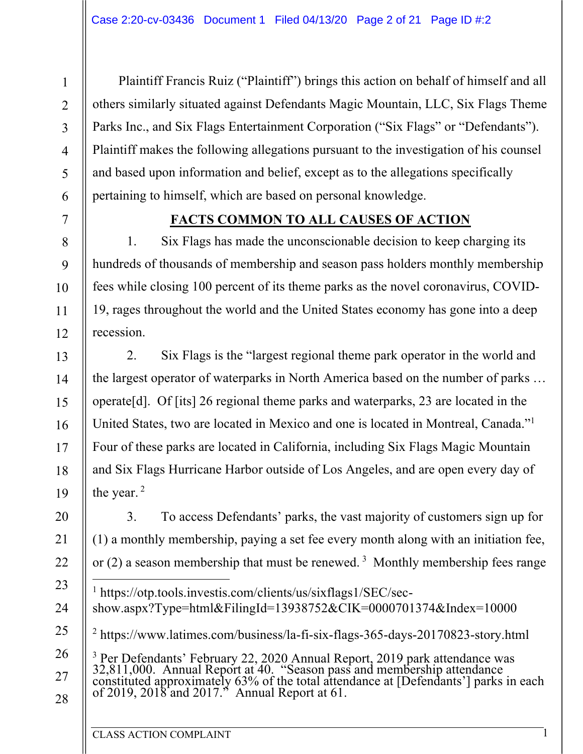Plaintiff Francis Ruiz ("Plaintiff") brings this action on behalf of himself and all others similarly situated against Defendants Magic Mountain, LLC, Six Flags Theme Parks Inc., and Six Flags Entertainment Corporation ("Six Flags" or "Defendants"). Plaintiff makes the following allegations pursuant to the investigation of his counsel and based upon information and belief, except as to the allegations specifically pertaining to himself, which are based on personal knowledge.

### **FACTS COMMON TO ALL CAUSES OF ACTION**

1. Six Flags has made the unconscionable decision to keep charging its hundreds of thousands of membership and season pass holders monthly membership fees while closing 100 percent of its theme parks as the novel coronavirus, COVID-19, rages throughout the world and the United States economy has gone into a deep recession.

2. Six Flags is the "largest regional theme park operator in the world and the largest operator of waterparks in North America based on the number of parks … operate[d]. Of [its] 26 regional theme parks and waterparks, 23 are located in the United States, two are located in Mexico and one is located in Montreal, Canada." 1 Four of these parks are located in California, including Six Flags Magic Mountain and Six Flags Hurricane Harbor outside of Los Angeles, and are open every day of the year.<sup>2</sup>

3. To access Defendants' parks, the vast majority of customers sign up for (1) a monthly membership, paying a set fee every month along with an initiation fee, or (2) a season membership that must be renewed.<sup>3</sup> Monthly membership fees range <sup>1</sup> https://otp.tools.investis.com/clients/us/sixflags1/SEC/secshow.aspx?Type=html&FilingId=13938752&CIK=0000701374&Index=10000

<sup>2</sup> https://www.latimes.com/business/la-fi-six-flags-365-days-20170823-story.html

<sup>3</sup> Per Defendants' February 22, 2020 Annual Report, 2019 park attendance was  $32,811,000$ . Annual Report at 40. "Season pass and membership attendance constituted approximately 63% of the total attendance at [Defendants'

28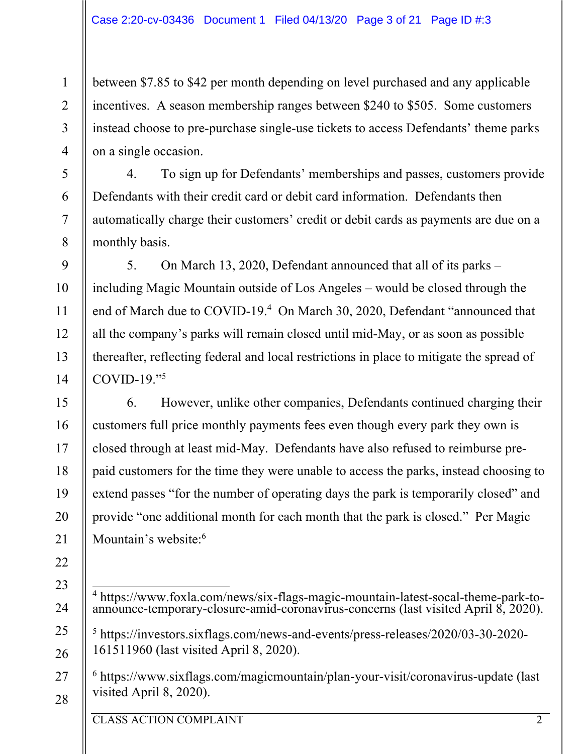between \$7.85 to \$42 per month depending on level purchased and any applicable incentives. A season membership ranges between \$240 to \$505. Some customers instead choose to pre-purchase single-use tickets to access Defendants' theme parks on a single occasion.

4. To sign up for Defendants' memberships and passes, customers provide Defendants with their credit card or debit card information. Defendants then automatically charge their customers' credit or debit cards as payments are due on a monthly basis.

5. On March 13, 2020, Defendant announced that all of its parks – including Magic Mountain outside of Los Angeles – would be closed through the end of March due to COVID-19.<sup>4</sup> On March 30, 2020, Defendant "announced that all the company's parks will remain closed until mid-May, or as soon as possible thereafter, reflecting federal and local restrictions in place to mitigate the spread of COVID-19."5

6. However, unlike other companies, Defendants continued charging their customers full price monthly payments fees even though every park they own is closed through at least mid-May. Defendants have also refused to reimburse prepaid customers for the time they were unable to access the parks, instead choosing to extend passes "for the number of operating days the park is temporarily closed" and provide "one additional month for each month that the park is closed." Per Magic Mountain's website:<sup>6</sup>

CLASS ACTION COMPLAINT 2

1

2

3

4

5

6

7

8

9

10

11

12

13

14

15

16

17

18

19

20

21

22

23

24

25

26

27

<sup>4</sup> https://www.foxla.com/news/six-flags-magic-mountain-latest-socal-theme-park-to- announce-temporary-closure-amid-coronavirus-concerns (last visited April 8, 2020).

<sup>5</sup> https://investors.sixflags.com/news-and-events/press-releases/2020/03-30-2020- 161511960 (last visited April 8, 2020).

<sup>6</sup> https://www.sixflags.com/magicmountain/plan-your-visit/coronavirus-update (last visited April 8, 2020).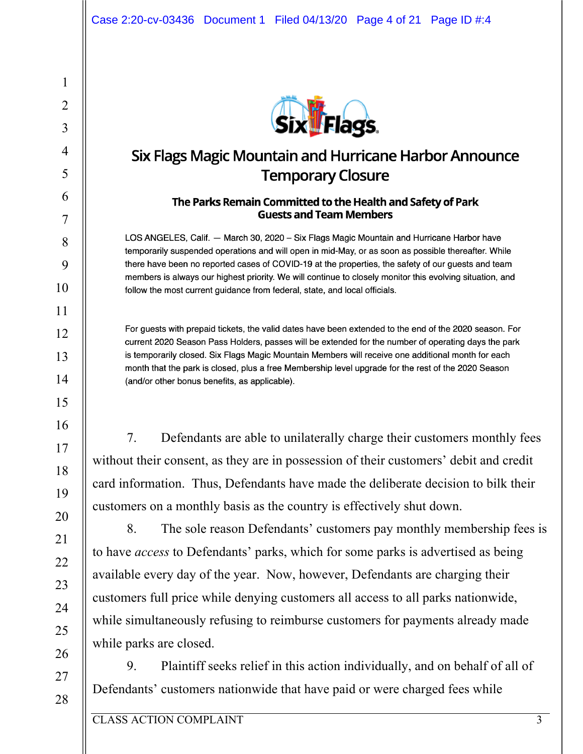

# Six Flags Magic Mountain and Hurricane Harbor Announce **Temporary Closure**

#### The Parks Remain Committed to the Health and Safety of Park **Guests and Team Members**

LOS ANGELES, Calif. - March 30, 2020 - Six Flags Magic Mountain and Hurricane Harbor have temporarily suspended operations and will open in mid-May, or as soon as possible thereafter. While there have been no reported cases of COVID-19 at the properties, the safety of our quests and team members is always our highest priority. We will continue to closely monitor this evolving situation, and follow the most current guidance from federal, state, and local officials.

For guests with prepaid tickets, the valid dates have been extended to the end of the 2020 season. For current 2020 Season Pass Holders, passes will be extended for the number of operating days the park is temporarily closed. Six Flags Magic Mountain Members will receive one additional month for each month that the park is closed, plus a free Membership level upgrade for the rest of the 2020 Season (and/or other bonus benefits, as applicable).

7. Defendants are able to unilaterally charge their customers monthly fees without their consent, as they are in possession of their customers' debit and credit card information. Thus, Defendants have made the deliberate decision to bilk their customers on a monthly basis as the country is effectively shut down.

8. The sole reason Defendants' customers pay monthly membership fees is to have *access* to Defendants' parks, which for some parks is advertised as being available every day of the year. Now, however, Defendants are charging their customers full price while denying customers all access to all parks nationwide, while simultaneously refusing to reimburse customers for payments already made while parks are closed.

9. Plaintiff seeks relief in this action individually, and on behalf of all of Defendants' customers nationwide that have paid or were charged fees while

1

2

3

4

5

6

7

8

9

10

11

12

13

14

15

16

17

18

19

20

21

22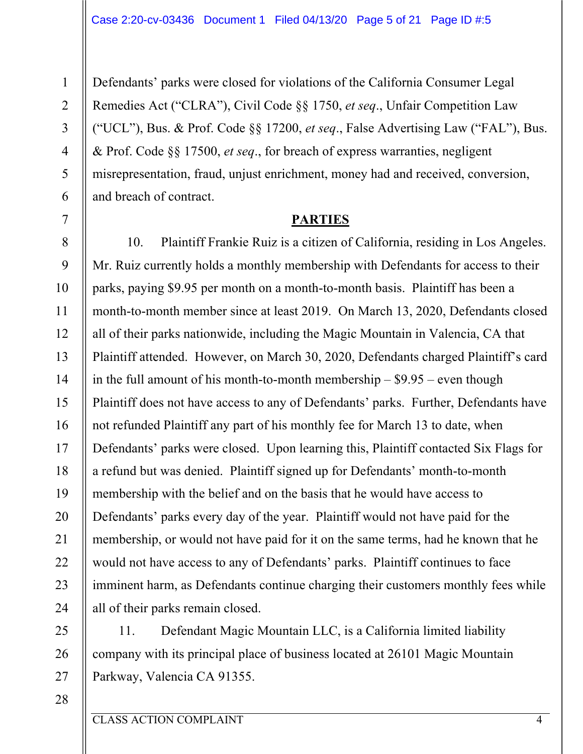Defendants' parks were closed for violations of the California Consumer Legal Remedies Act ("CLRA"), Civil Code §§ 1750, *et seq*., Unfair Competition Law ("UCL"), Bus. & Prof. Code §§ 17200, *et seq*., False Advertising Law ("FAL"), Bus. & Prof. Code §§ 17500, *et seq*., for breach of express warranties, negligent misrepresentation, fraud, unjust enrichment, money had and received, conversion, and breach of contract.

#### **PARTIES**

10. Plaintiff Frankie Ruiz is a citizen of California, residing in Los Angeles. Mr. Ruiz currently holds a monthly membership with Defendants for access to their parks, paying \$9.95 per month on a month-to-month basis. Plaintiff has been a month-to-month member since at least 2019. On March 13, 2020, Defendants closed all of their parks nationwide, including the Magic Mountain in Valencia, CA that Plaintiff attended. However, on March 30, 2020, Defendants charged Plaintiff's card in the full amount of his month-to-month membership – \$9.95 – even though Plaintiff does not have access to any of Defendants' parks. Further, Defendants have not refunded Plaintiff any part of his monthly fee for March 13 to date, when Defendants' parks were closed. Upon learning this, Plaintiff contacted Six Flags for a refund but was denied. Plaintiff signed up for Defendants' month-to-month membership with the belief and on the basis that he would have access to Defendants' parks every day of the year. Plaintiff would not have paid for the membership, or would not have paid for it on the same terms, had he known that he would not have access to any of Defendants' parks. Plaintiff continues to face imminent harm, as Defendants continue charging their customers monthly fees while all of their parks remain closed.

11. Defendant Magic Mountain LLC, is a California limited liability company with its principal place of business located at 26101 Magic Mountain Parkway, Valencia CA 91355.

28

1

2

3

4

5

6

7

8

9

10

11

12

13

14

15

16

17

18

19

20

21

22

23

24

25

26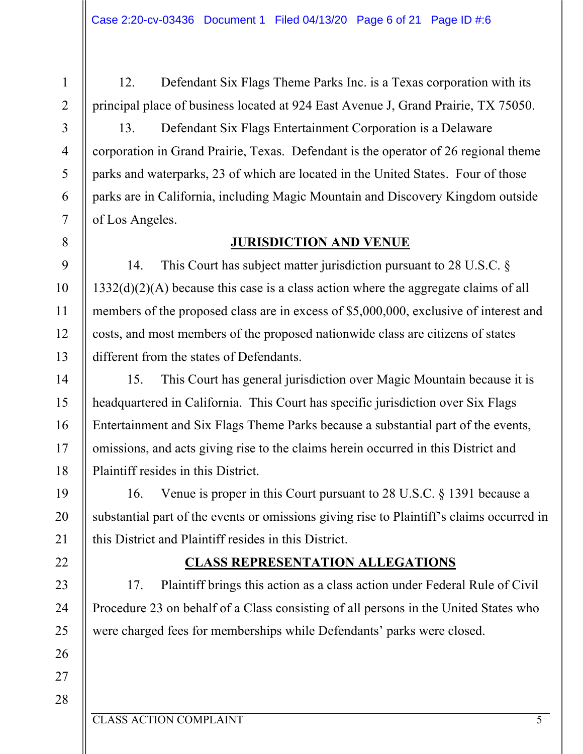12. Defendant Six Flags Theme Parks Inc. is a Texas corporation with its principal place of business located at 924 East Avenue J, Grand Prairie, TX 75050.

13. Defendant Six Flags Entertainment Corporation is a Delaware corporation in Grand Prairie, Texas. Defendant is the operator of 26 regional theme parks and waterparks, 23 of which are located in the United States. Four of those parks are in California, including Magic Mountain and Discovery Kingdom outside of Los Angeles.

## **JURISDICTION AND VENUE**

14. This Court has subject matter jurisdiction pursuant to 28 U.S.C. § 1332(d)(2)(A) because this case is a class action where the aggregate claims of all members of the proposed class are in excess of \$5,000,000, exclusive of interest and costs, and most members of the proposed nationwide class are citizens of states different from the states of Defendants.

15. This Court has general jurisdiction over Magic Mountain because it is headquartered in California. This Court has specific jurisdiction over Six Flags Entertainment and Six Flags Theme Parks because a substantial part of the events, omissions, and acts giving rise to the claims herein occurred in this District and Plaintiff resides in this District.

16. Venue is proper in this Court pursuant to 28 U.S.C. § 1391 because a substantial part of the events or omissions giving rise to Plaintiff's claims occurred in this District and Plaintiff resides in this District.

## **CLASS REPRESENTATION ALLEGATIONS**

17. Plaintiff brings this action as a class action under Federal Rule of Civil Procedure 23 on behalf of a Class consisting of all persons in the United States who were charged fees for memberships while Defendants' parks were closed.

1

2

3

4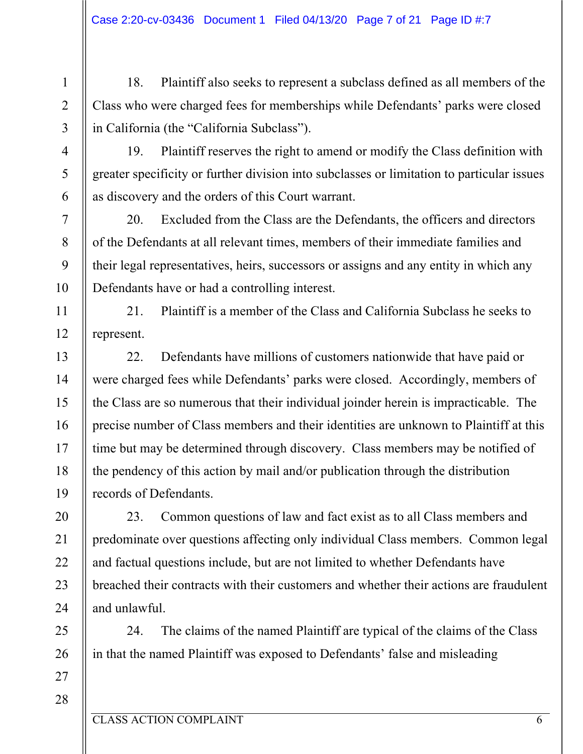18. Plaintiff also seeks to represent a subclass defined as all members of the Class who were charged fees for memberships while Defendants' parks were closed in California (the "California Subclass").

19. Plaintiff reserves the right to amend or modify the Class definition with greater specificity or further division into subclasses or limitation to particular issues as discovery and the orders of this Court warrant.

20. Excluded from the Class are the Defendants, the officers and directors of the Defendants at all relevant times, members of their immediate families and their legal representatives, heirs, successors or assigns and any entity in which any Defendants have or had a controlling interest.

21. Plaintiff is a member of the Class and California Subclass he seeks to represent.

22. Defendants have millions of customers nationwide that have paid or were charged fees while Defendants' parks were closed. Accordingly, members of the Class are so numerous that their individual joinder herein is impracticable. The precise number of Class members and their identities are unknown to Plaintiff at this time but may be determined through discovery. Class members may be notified of the pendency of this action by mail and/or publication through the distribution records of Defendants.

23. Common questions of law and fact exist as to all Class members and predominate over questions affecting only individual Class members. Common legal and factual questions include, but are not limited to whether Defendants have breached their contracts with their customers and whether their actions are fraudulent and unlawful.

24. The claims of the named Plaintiff are typical of the claims of the Class in that the named Plaintiff was exposed to Defendants' false and misleading

1

2

3

4

5

6

7

8

9

10

11

12

13

14

15

16

17

18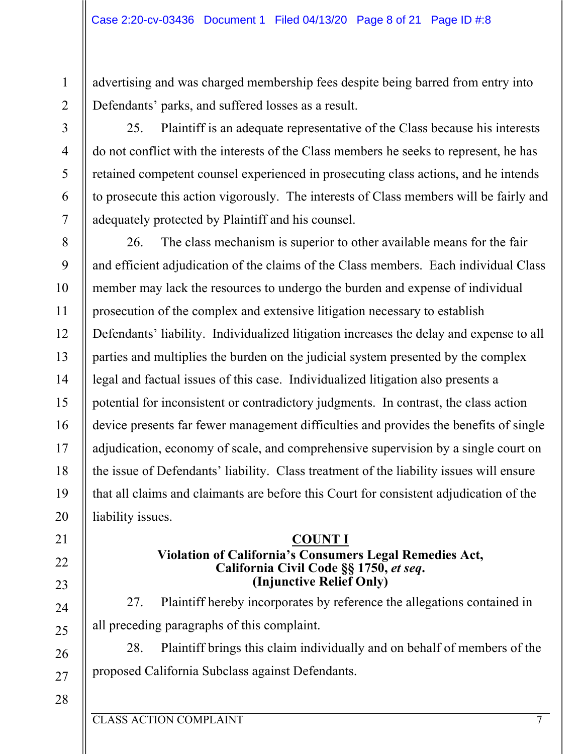advertising and was charged membership fees despite being barred from entry into Defendants' parks, and suffered losses as a result.

1

2

3

4

5

6

7

8

9

10

11

12

13

14

15

16

17

18

19

20

21

22

23

24

25

26

25. Plaintiff is an adequate representative of the Class because his interests do not conflict with the interests of the Class members he seeks to represent, he has retained competent counsel experienced in prosecuting class actions, and he intends to prosecute this action vigorously. The interests of Class members will be fairly and adequately protected by Plaintiff and his counsel.

26. The class mechanism is superior to other available means for the fair and efficient adjudication of the claims of the Class members. Each individual Class member may lack the resources to undergo the burden and expense of individual prosecution of the complex and extensive litigation necessary to establish Defendants' liability. Individualized litigation increases the delay and expense to all parties and multiplies the burden on the judicial system presented by the complex legal and factual issues of this case. Individualized litigation also presents a potential for inconsistent or contradictory judgments. In contrast, the class action device presents far fewer management difficulties and provides the benefits of single adjudication, economy of scale, and comprehensive supervision by a single court on the issue of Defendants' liability. Class treatment of the liability issues will ensure that all claims and claimants are before this Court for consistent adjudication of the liability issues.

## **COUNT I**

#### **Violation of California's Consumers Legal Remedies Act, California Civil Code §§ 1750,** *et seq***. (Injunctive Relief Only)**

27. Plaintiff hereby incorporates by reference the allegations contained in all preceding paragraphs of this complaint.

28. Plaintiff brings this claim individually and on behalf of members of the proposed California Subclass against Defendants.

28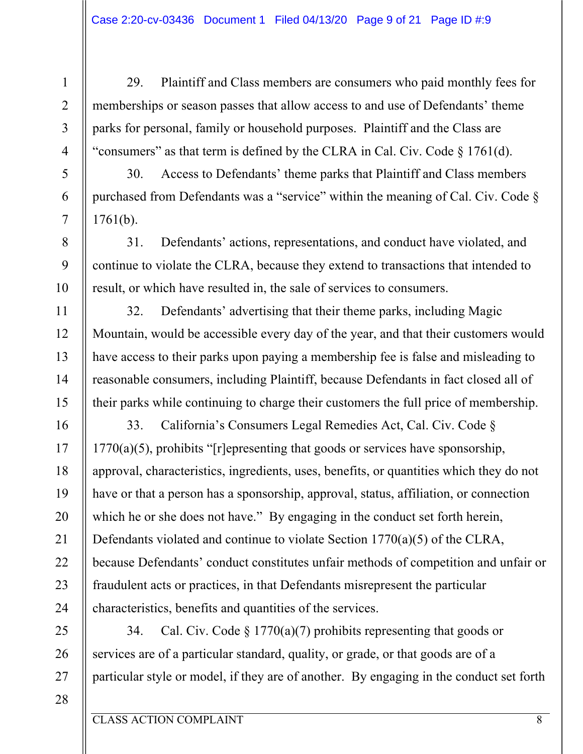29. Plaintiff and Class members are consumers who paid monthly fees for memberships or season passes that allow access to and use of Defendants' theme parks for personal, family or household purposes. Plaintiff and the Class are "consumers" as that term is defined by the CLRA in Cal. Civ. Code § 1761(d).

30. Access to Defendants' theme parks that Plaintiff and Class members purchased from Defendants was a "service" within the meaning of Cal. Civ. Code § 1761(b).

31. Defendants' actions, representations, and conduct have violated, and continue to violate the CLRA, because they extend to transactions that intended to result, or which have resulted in, the sale of services to consumers.

32. Defendants' advertising that their theme parks, including Magic Mountain, would be accessible every day of the year, and that their customers would have access to their parks upon paying a membership fee is false and misleading to reasonable consumers, including Plaintiff, because Defendants in fact closed all of their parks while continuing to charge their customers the full price of membership.

33. California's Consumers Legal Remedies Act, Cal. Civ. Code §  $1770(a)(5)$ , prohibits "[r]epresenting that goods or services have sponsorship, approval, characteristics, ingredients, uses, benefits, or quantities which they do not have or that a person has a sponsorship, approval, status, affiliation, or connection which he or she does not have." By engaging in the conduct set forth herein, Defendants violated and continue to violate Section 1770(a)(5) of the CLRA, because Defendants' conduct constitutes unfair methods of competition and unfair or fraudulent acts or practices, in that Defendants misrepresent the particular characteristics, benefits and quantities of the services.

34. Cal. Civ. Code  $\S 1770(a)(7)$  prohibits representing that goods or services are of a particular standard, quality, or grade, or that goods are of a particular style or model, if they are of another. By engaging in the conduct set forth

28

1

2

3

4

5

6

7

8

9

10

11

12

13

14

15

16

17

18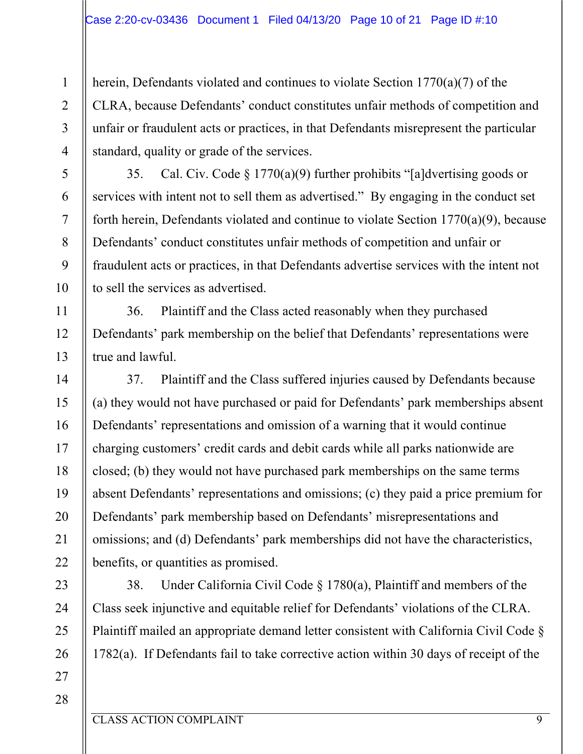herein, Defendants violated and continues to violate Section 1770(a)(7) of the CLRA, because Defendants' conduct constitutes unfair methods of competition and unfair or fraudulent acts or practices, in that Defendants misrepresent the particular standard, quality or grade of the services.

35. Cal. Civ. Code § 1770(a)(9) further prohibits "[a]dvertising goods or services with intent not to sell them as advertised." By engaging in the conduct set forth herein, Defendants violated and continue to violate Section 1770(a)(9), because Defendants' conduct constitutes unfair methods of competition and unfair or fraudulent acts or practices, in that Defendants advertise services with the intent not to sell the services as advertised.

36. Plaintiff and the Class acted reasonably when they purchased Defendants' park membership on the belief that Defendants' representations were true and lawful.

37. Plaintiff and the Class suffered injuries caused by Defendants because (a) they would not have purchased or paid for Defendants' park memberships absent Defendants' representations and omission of a warning that it would continue charging customers' credit cards and debit cards while all parks nationwide are closed; (b) they would not have purchased park memberships on the same terms absent Defendants' representations and omissions; (c) they paid a price premium for Defendants' park membership based on Defendants' misrepresentations and omissions; and (d) Defendants' park memberships did not have the characteristics, benefits, or quantities as promised.

38. Under California Civil Code § 1780(a), Plaintiff and members of the Class seek injunctive and equitable relief for Defendants' violations of the CLRA. Plaintiff mailed an appropriate demand letter consistent with California Civil Code § 1782(a). If Defendants fail to take corrective action within 30 days of receipt of the

28

1

2

3

4

5

6

7

8

9

10

11

12

13

14

15

16

17

18

19

20

21

22

23

24

25

26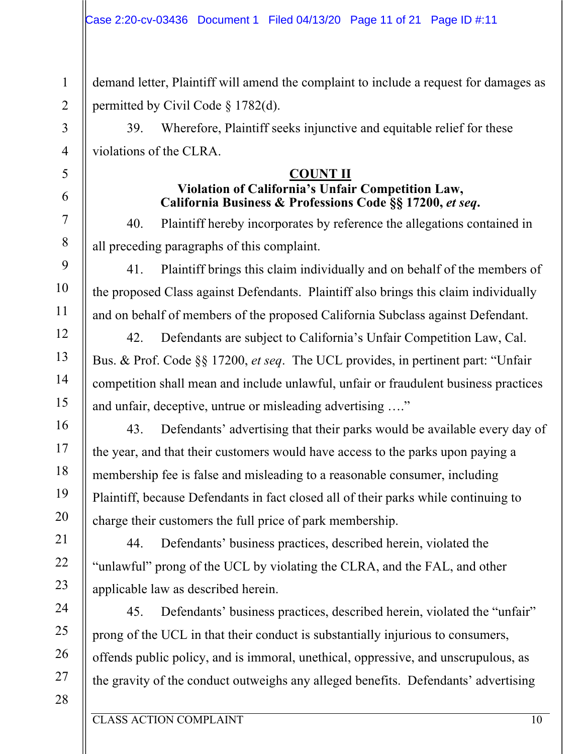demand letter, Plaintiff will amend the complaint to include a request for damages as permitted by Civil Code § 1782(d).

39. Wherefore, Plaintiff seeks injunctive and equitable relief for these violations of the CLRA.

### **COUNT II**

## **Violation of California's Unfair Competition Law, California Business & Professions Code §§ 17200,** *et seq***.**

40. Plaintiff hereby incorporates by reference the allegations contained in all preceding paragraphs of this complaint.

41. Plaintiff brings this claim individually and on behalf of the members of the proposed Class against Defendants. Plaintiff also brings this claim individually and on behalf of members of the proposed California Subclass against Defendant.

42. Defendants are subject to California's Unfair Competition Law, Cal. Bus. & Prof. Code §§ 17200, *et seq*. The UCL provides, in pertinent part: "Unfair competition shall mean and include unlawful, unfair or fraudulent business practices and unfair, deceptive, untrue or misleading advertising …."

43. Defendants' advertising that their parks would be available every day of the year, and that their customers would have access to the parks upon paying a membership fee is false and misleading to a reasonable consumer, including Plaintiff, because Defendants in fact closed all of their parks while continuing to charge their customers the full price of park membership.

44. Defendants' business practices, described herein, violated the "unlawful" prong of the UCL by violating the CLRA, and the FAL, and other applicable law as described herein.

45. Defendants' business practices, described herein, violated the "unfair" prong of the UCL in that their conduct is substantially injurious to consumers, offends public policy, and is immoral, unethical, oppressive, and unscrupulous, as the gravity of the conduct outweighs any alleged benefits. Defendants' advertising

1

2

3

4

5

6

7

8

9

10

11

12

13

14

15

16

17

18

19

20

21

22

23

24

25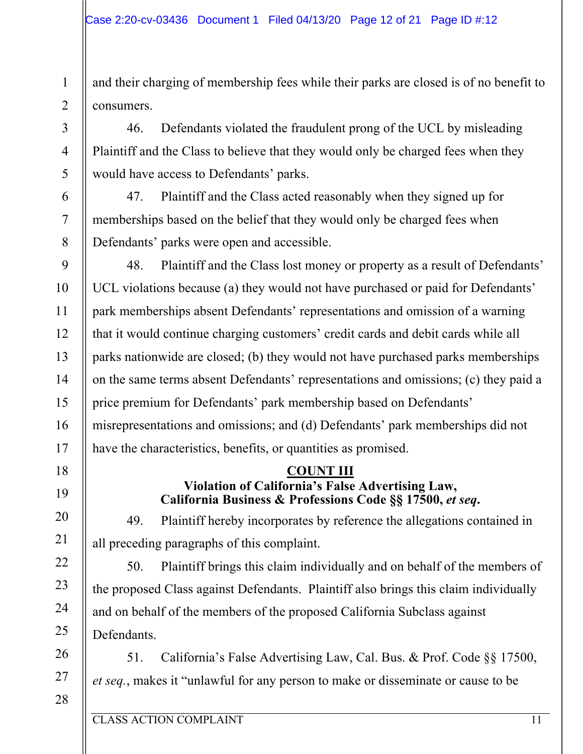and their charging of membership fees while their parks are closed is of no benefit to consumers.

46. Defendants violated the fraudulent prong of the UCL by misleading Plaintiff and the Class to believe that they would only be charged fees when they would have access to Defendants' parks.

47. Plaintiff and the Class acted reasonably when they signed up for memberships based on the belief that they would only be charged fees when Defendants' parks were open and accessible.

48. Plaintiff and the Class lost money or property as a result of Defendants' UCL violations because (a) they would not have purchased or paid for Defendants' park memberships absent Defendants' representations and omission of a warning that it would continue charging customers' credit cards and debit cards while all parks nationwide are closed; (b) they would not have purchased parks memberships on the same terms absent Defendants' representations and omissions; (c) they paid a price premium for Defendants' park membership based on Defendants' misrepresentations and omissions; and (d) Defendants' park memberships did not have the characteristics, benefits, or quantities as promised.

# **COUNT III**

### **Violation of California's False Advertising Law, California Business & Professions Code §§ 17500,** *et seq***.**

49. Plaintiff hereby incorporates by reference the allegations contained in all preceding paragraphs of this complaint.

50. Plaintiff brings this claim individually and on behalf of the members of the proposed Class against Defendants. Plaintiff also brings this claim individually and on behalf of the members of the proposed California Subclass against Defendants.

51. California's False Advertising Law, Cal. Bus. & Prof. Code §§ 17500, *et seq.*, makes it "unlawful for any person to make or disseminate or cause to be

28

27

1

2

3

4

5

6

7

8

9

10

11

12

13

14

15

16

17

18

19

20

21

22

23

24

25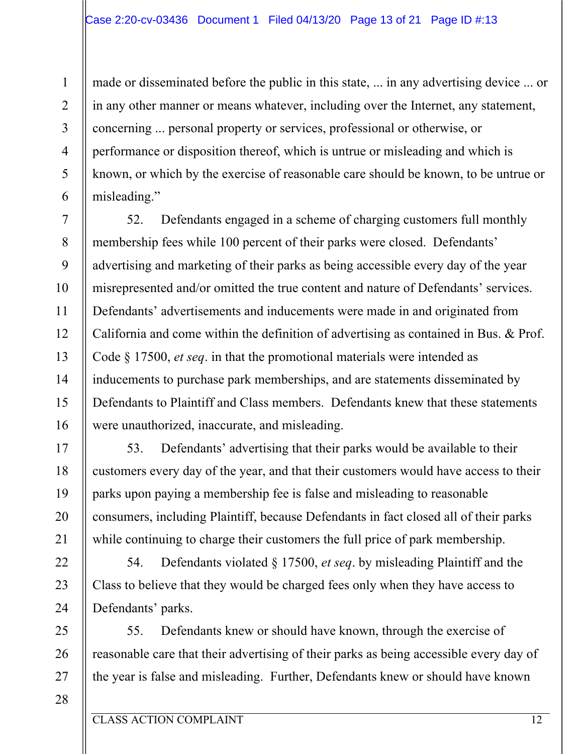made or disseminated before the public in this state, ... in any advertising device ... or in any other manner or means whatever, including over the Internet, any statement, concerning ... personal property or services, professional or otherwise, or performance or disposition thereof, which is untrue or misleading and which is known, or which by the exercise of reasonable care should be known, to be untrue or misleading."

52. Defendants engaged in a scheme of charging customers full monthly membership fees while 100 percent of their parks were closed. Defendants' advertising and marketing of their parks as being accessible every day of the year misrepresented and/or omitted the true content and nature of Defendants' services. Defendants' advertisements and inducements were made in and originated from California and come within the definition of advertising as contained in Bus. & Prof. Code § 17500, *et seq*. in that the promotional materials were intended as inducements to purchase park memberships, and are statements disseminated by Defendants to Plaintiff and Class members. Defendants knew that these statements were unauthorized, inaccurate, and misleading.

53. Defendants' advertising that their parks would be available to their customers every day of the year, and that their customers would have access to their parks upon paying a membership fee is false and misleading to reasonable consumers, including Plaintiff, because Defendants in fact closed all of their parks while continuing to charge their customers the full price of park membership.

54. Defendants violated § 17500, *et seq*. by misleading Plaintiff and the Class to believe that they would be charged fees only when they have access to Defendants' parks.

55. Defendants knew or should have known, through the exercise of reasonable care that their advertising of their parks as being accessible every day of the year is false and misleading. Further, Defendants knew or should have known

28

1

2

3

4

5

6

7

8

9

10

11

12

13

14

15

16

17

18

19

20

21

22

23

24

25

26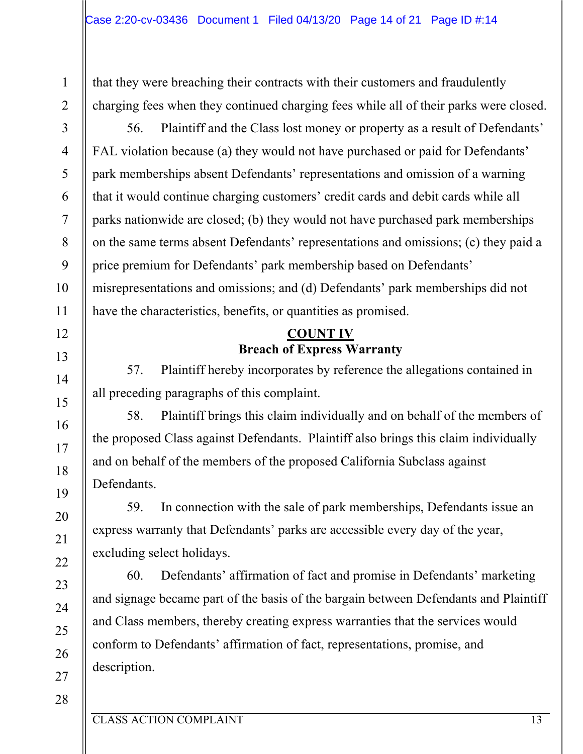that they were breaching their contracts with their customers and fraudulently charging fees when they continued charging fees while all of their parks were closed.

56. Plaintiff and the Class lost money or property as a result of Defendants' FAL violation because (a) they would not have purchased or paid for Defendants' park memberships absent Defendants' representations and omission of a warning that it would continue charging customers' credit cards and debit cards while all parks nationwide are closed; (b) they would not have purchased park memberships on the same terms absent Defendants' representations and omissions; (c) they paid a price premium for Defendants' park membership based on Defendants' misrepresentations and omissions; and (d) Defendants' park memberships did not have the characteristics, benefits, or quantities as promised.

#### **COUNT IV Breach of Express Warranty**

57. Plaintiff hereby incorporates by reference the allegations contained in all preceding paragraphs of this complaint.

58. Plaintiff brings this claim individually and on behalf of the members of the proposed Class against Defendants. Plaintiff also brings this claim individually and on behalf of the members of the proposed California Subclass against Defendants.

59. In connection with the sale of park memberships, Defendants issue an express warranty that Defendants' parks are accessible every day of the year, excluding select holidays.

60. Defendants' affirmation of fact and promise in Defendants' marketing and signage became part of the basis of the bargain between Defendants and Plaintiff and Class members, thereby creating express warranties that the services would conform to Defendants' affirmation of fact, representations, promise, and description.

1

2

3

4

5

6

7

8

9

10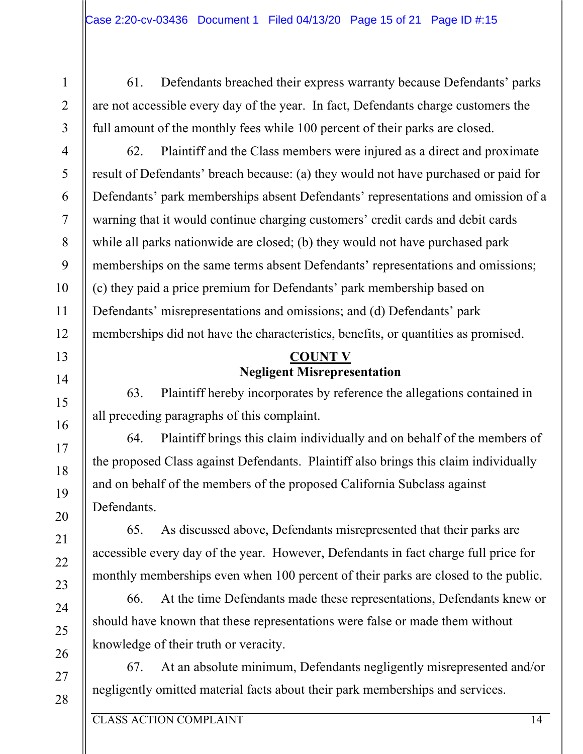61. Defendants breached their express warranty because Defendants' parks are not accessible every day of the year. In fact, Defendants charge customers the full amount of the monthly fees while 100 percent of their parks are closed.

62. Plaintiff and the Class members were injured as a direct and proximate result of Defendants' breach because: (a) they would not have purchased or paid for Defendants' park memberships absent Defendants' representations and omission of a warning that it would continue charging customers' credit cards and debit cards while all parks nationwide are closed; (b) they would not have purchased park memberships on the same terms absent Defendants' representations and omissions; (c) they paid a price premium for Defendants' park membership based on Defendants' misrepresentations and omissions; and (d) Defendants' park memberships did not have the characteristics, benefits, or quantities as promised.

## **COUNT V Negligent Misrepresentation**

63. Plaintiff hereby incorporates by reference the allegations contained in all preceding paragraphs of this complaint.

64. Plaintiff brings this claim individually and on behalf of the members of the proposed Class against Defendants. Plaintiff also brings this claim individually and on behalf of the members of the proposed California Subclass against Defendants.

65. As discussed above, Defendants misrepresented that their parks are accessible every day of the year. However, Defendants in fact charge full price for monthly memberships even when 100 percent of their parks are closed to the public.

66. At the time Defendants made these representations, Defendants knew or should have known that these representations were false or made them without knowledge of their truth or veracity.

67. At an absolute minimum, Defendants negligently misrepresented and/or negligently omitted material facts about their park memberships and services.

1

2

3

4

5

6

7

8

9

10

11

12

13

14

15

16

17

18

19

20

21

22

23

24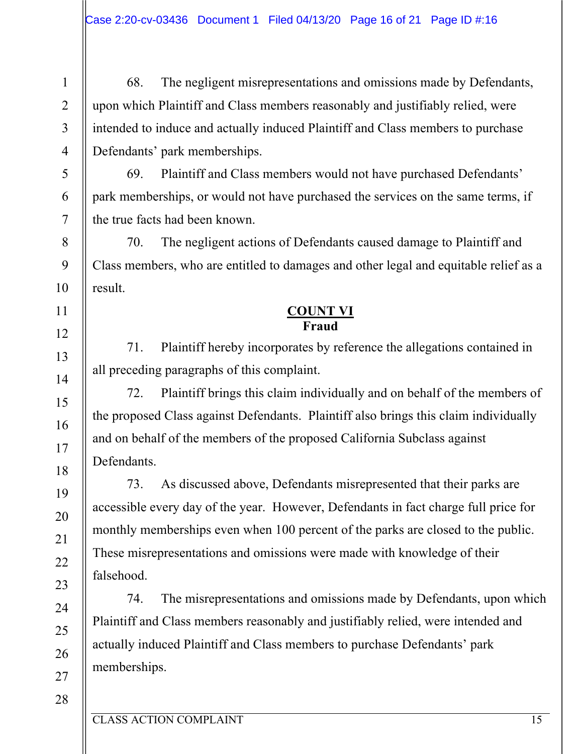68. The negligent misrepresentations and omissions made by Defendants, upon which Plaintiff and Class members reasonably and justifiably relied, were intended to induce and actually induced Plaintiff and Class members to purchase Defendants' park memberships.

69. Plaintiff and Class members would not have purchased Defendants' park memberships, or would not have purchased the services on the same terms, if the true facts had been known.

70. The negligent actions of Defendants caused damage to Plaintiff and Class members, who are entitled to damages and other legal and equitable relief as a result.

#### **COUNT VI Fraud**

71. Plaintiff hereby incorporates by reference the allegations contained in all preceding paragraphs of this complaint.

72. Plaintiff brings this claim individually and on behalf of the members of the proposed Class against Defendants. Plaintiff also brings this claim individually and on behalf of the members of the proposed California Subclass against Defendants.

73. As discussed above, Defendants misrepresented that their parks are accessible every day of the year. However, Defendants in fact charge full price for monthly memberships even when 100 percent of the parks are closed to the public. These misrepresentations and omissions were made with knowledge of their falsehood.

74. The misrepresentations and omissions made by Defendants, upon which Plaintiff and Class members reasonably and justifiably relied, were intended and actually induced Plaintiff and Class members to purchase Defendants' park memberships.

1

2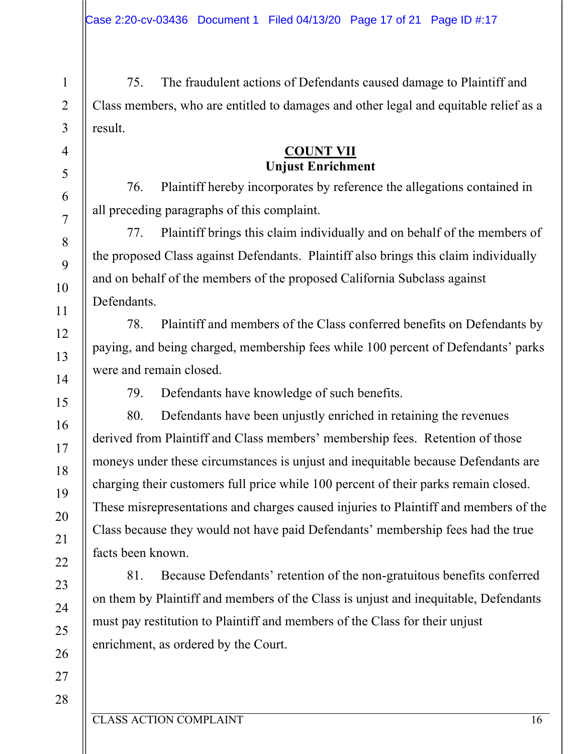75. The fraudulent actions of Defendants caused damage to Plaintiff and Class members, who are entitled to damages and other legal and equitable relief as a result.

#### **COUNT VII Unjust Enrichment**

76. Plaintiff hereby incorporates by reference the allegations contained in all preceding paragraphs of this complaint.

77. Plaintiff brings this claim individually and on behalf of the members of the proposed Class against Defendants. Plaintiff also brings this claim individually and on behalf of the members of the proposed California Subclass against Defendants.

78. Plaintiff and members of the Class conferred benefits on Defendants by paying, and being charged, membership fees while 100 percent of Defendants' parks were and remain closed.

79. Defendants have knowledge of such benefits.

80. Defendants have been unjustly enriched in retaining the revenues derived from Plaintiff and Class members' membership fees. Retention of those moneys under these circumstances is unjust and inequitable because Defendants are charging their customers full price while 100 percent of their parks remain closed. These misrepresentations and charges caused injuries to Plaintiff and members of the Class because they would not have paid Defendants' membership fees had the true facts been known.

81. Because Defendants' retention of the non-gratuitous benefits conferred on them by Plaintiff and members of the Class is unjust and inequitable, Defendants must pay restitution to Plaintiff and members of the Class for their unjust enrichment, as ordered by the Court.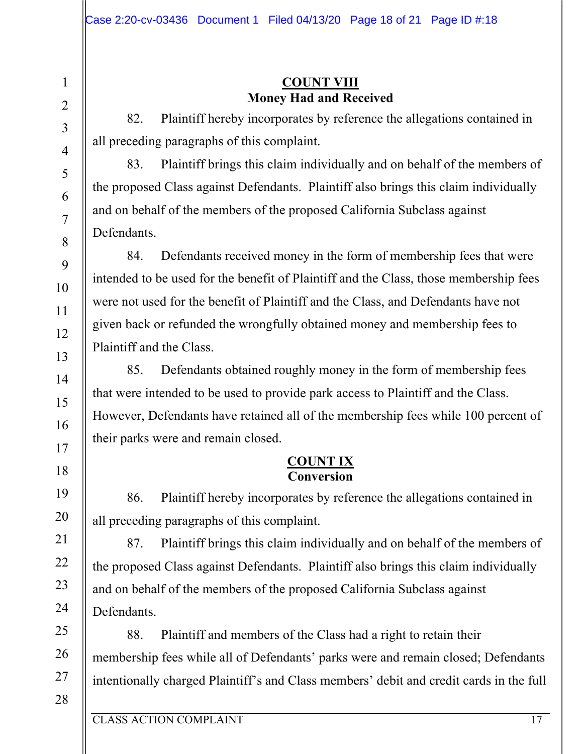### **COUNT VIII Money Had and Received**

82. Plaintiff hereby incorporates by reference the allegations contained in all preceding paragraphs of this complaint.

83. Plaintiff brings this claim individually and on behalf of the members of the proposed Class against Defendants. Plaintiff also brings this claim individually and on behalf of the members of the proposed California Subclass against Defendants.

84. Defendants received money in the form of membership fees that were intended to be used for the benefit of Plaintiff and the Class, those membership fees were not used for the benefit of Plaintiff and the Class, and Defendants have not given back or refunded the wrongfully obtained money and membership fees to Plaintiff and the Class.

85. Defendants obtained roughly money in the form of membership fees that were intended to be used to provide park access to Plaintiff and the Class. However, Defendants have retained all of the membership fees while 100 percent of their parks were and remain closed.

#### **COUNT IX Conversion**

86. Plaintiff hereby incorporates by reference the allegations contained in all preceding paragraphs of this complaint.

87. Plaintiff brings this claim individually and on behalf of the members of the proposed Class against Defendants. Plaintiff also brings this claim individually and on behalf of the members of the proposed California Subclass against Defendants.

88. Plaintiff and members of the Class had a right to retain their membership fees while all of Defendants' parks were and remain closed; Defendants intentionally charged Plaintiff's and Class members' debit and credit cards in the full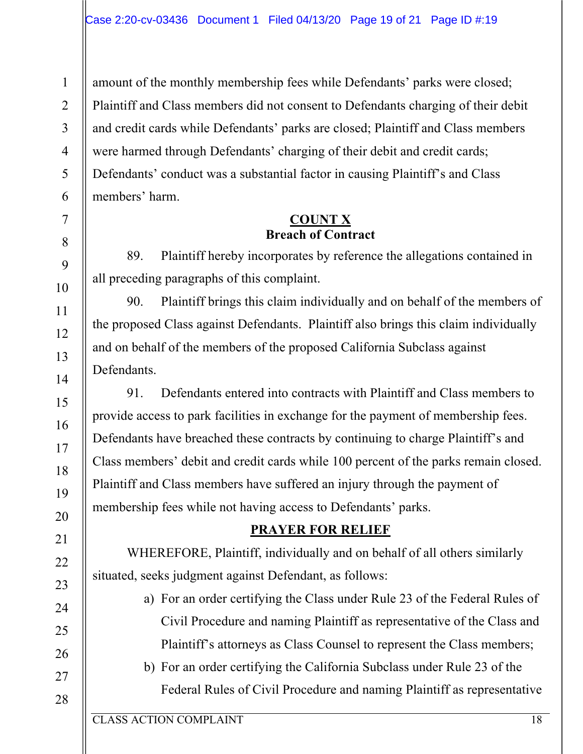amount of the monthly membership fees while Defendants' parks were closed; Plaintiff and Class members did not consent to Defendants charging of their debit and credit cards while Defendants' parks are closed; Plaintiff and Class members were harmed through Defendants' charging of their debit and credit cards; Defendants' conduct was a substantial factor in causing Plaintiff's and Class members' harm.

#### **COUNT X Breach of Contract**

89. Plaintiff hereby incorporates by reference the allegations contained in all preceding paragraphs of this complaint.

90. Plaintiff brings this claim individually and on behalf of the members of the proposed Class against Defendants. Plaintiff also brings this claim individually and on behalf of the members of the proposed California Subclass against Defendants.

91. Defendants entered into contracts with Plaintiff and Class members to provide access to park facilities in exchange for the payment of membership fees. Defendants have breached these contracts by continuing to charge Plaintiff's and Class members' debit and credit cards while 100 percent of the parks remain closed. Plaintiff and Class members have suffered an injury through the payment of membership fees while not having access to Defendants' parks.

# **PRAYER FOR RELIEF**

WHEREFORE, Plaintiff, individually and on behalf of all others similarly situated, seeks judgment against Defendant, as follows:

- a) For an order certifying the Class under Rule 23 of the Federal Rules of Civil Procedure and naming Plaintiff as representative of the Class and Plaintiff's attorneys as Class Counsel to represent the Class members;
- b) For an order certifying the California Subclass under Rule 23 of the Federal Rules of Civil Procedure and naming Plaintiff as representative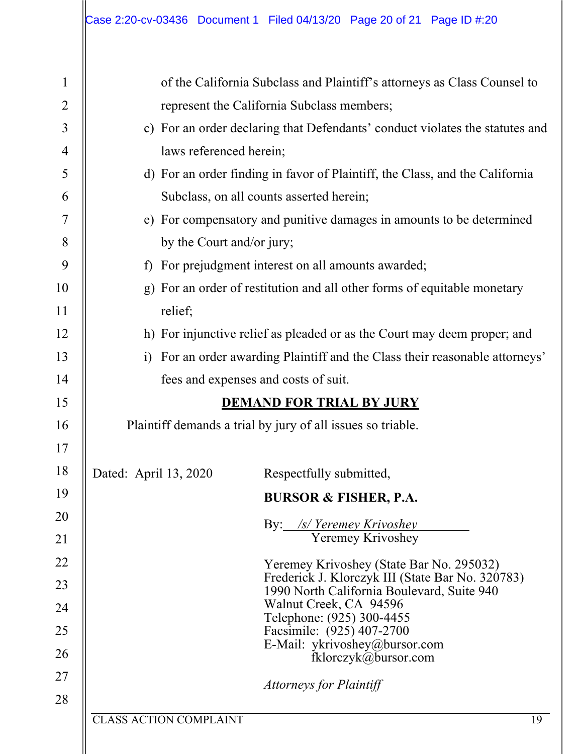| $\mathbf{1}$   | of the California Subclass and Plaintiff's attorneys as Class Counsel to                       |                                                                              |  |
|----------------|------------------------------------------------------------------------------------------------|------------------------------------------------------------------------------|--|
| $\overline{c}$ | represent the California Subclass members;                                                     |                                                                              |  |
| $\mathfrak{Z}$ | c) For an order declaring that Defendants' conduct violates the statutes and                   |                                                                              |  |
| $\overline{4}$ | laws referenced herein;                                                                        |                                                                              |  |
| 5              |                                                                                                | d) For an order finding in favor of Plaintiff, the Class, and the California |  |
| 6              | Subclass, on all counts asserted herein;                                                       |                                                                              |  |
| 7              |                                                                                                | e) For compensatory and punitive damages in amounts to be determined         |  |
| 8              | by the Court and/or jury;                                                                      |                                                                              |  |
| 9              | For prejudgment interest on all amounts awarded;<br>f                                          |                                                                              |  |
| 10             | For an order of restitution and all other forms of equitable monetary<br>$\mathbf{g}$          |                                                                              |  |
| 11             | relief;                                                                                        |                                                                              |  |
| 12             | h) For injunctive relief as pleaded or as the Court may deem proper; and                       |                                                                              |  |
| 13             | For an order awarding Plaintiff and the Class their reasonable attorneys'<br>$\overline{1}$    |                                                                              |  |
| 14             | fees and expenses and costs of suit.                                                           |                                                                              |  |
| 15             | <b>DEMAND FOR TRIAL BY JURY</b>                                                                |                                                                              |  |
| 16             | Plaintiff demands a trial by jury of all issues so triable.                                    |                                                                              |  |
| 17             |                                                                                                |                                                                              |  |
| 18             | Dated: April 13, 2020<br>Respectfully submitted,                                               |                                                                              |  |
| 19             | <b>BURSOR &amp; FISHER, P.A.</b>                                                               |                                                                              |  |
| 20             |                                                                                                |                                                                              |  |
| 21             | By: /s/ Yeremey Krivoshey<br>Yeremey Krivoshey                                                 |                                                                              |  |
| 22             | Yeremey Krivoshey (State Bar No. 295032)                                                       |                                                                              |  |
| 23             | Frederick J. Klorczyk III (State Bar No. 320783)<br>1990 North California Boulevard, Suite 940 |                                                                              |  |
| 24             | Walnut Creek, CA 94596<br>Telephone: (925) 300-4455                                            |                                                                              |  |
| 25             | Facsimile: (925) 407-2700                                                                      |                                                                              |  |
| 26             | E-Mail: ykrivoshey@bursor.com<br>fklorczyk@bursor.com                                          |                                                                              |  |
| 27             | <b>Attorneys for Plaintiff</b>                                                                 |                                                                              |  |
| 28             |                                                                                                |                                                                              |  |
|                | <b>CLASS ACTION COMPLAINT</b>                                                                  | 19                                                                           |  |
|                |                                                                                                |                                                                              |  |